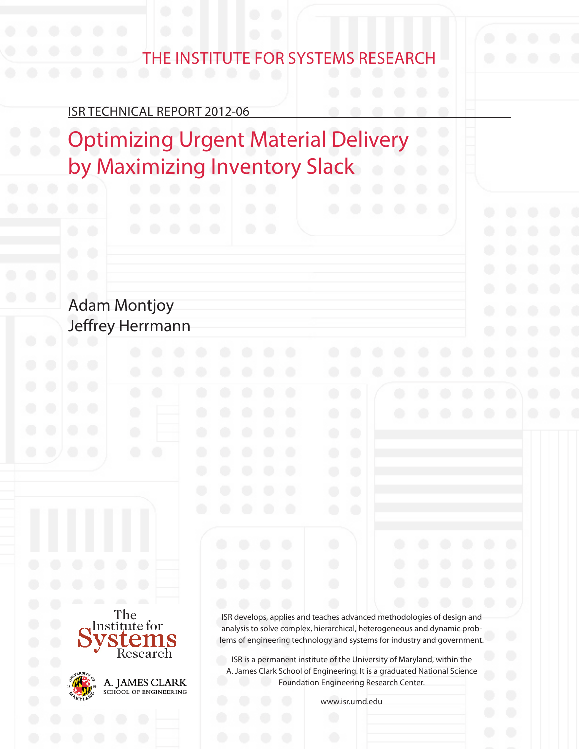# The InsTITuTe for sysTems research

Isr TechnIcal rePorT 2012-06

Optimizing Urgent Material Delivery by Maximizing Inventory Slack

# Adam Montjoy Jeffrey Herrmann





A. JAMES CLARK SCHOOL OF ENGINEERING

Isr develops, applies and teaches advanced methodologies of design and analysis to solve complex, hierarchical, heterogeneous and dynamic problems of engineering technology and systems for industry and government.

ISR is a permanent institute of the University of Maryland, within the A. James Clark School of Engineering. It is a graduated National Science Foundation Engineering Research Center.

www.isr.umd.edu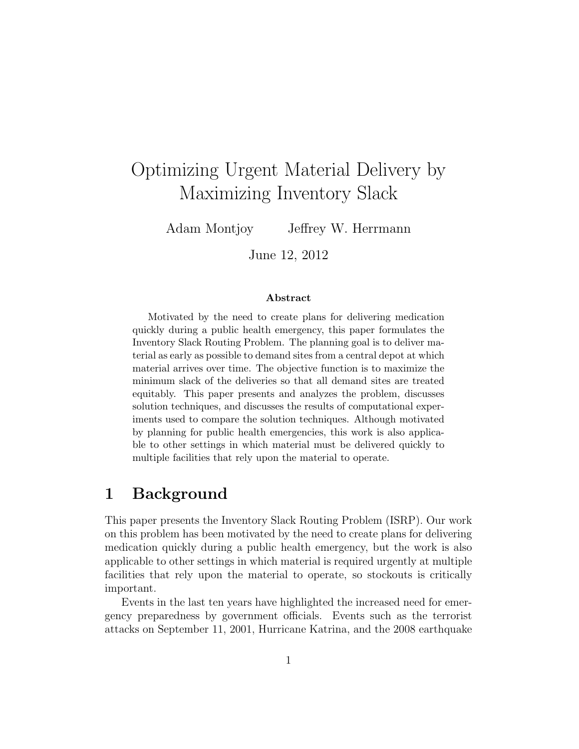# Optimizing Urgent Material Delivery by Maximizing Inventory Slack

Adam Montjoy Jeffrey W. Herrmann

June 12, 2012

#### Abstract

Motivated by the need to create plans for delivering medication quickly during a public health emergency, this paper formulates the Inventory Slack Routing Problem. The planning goal is to deliver material as early as possible to demand sites from a central depot at which material arrives over time. The objective function is to maximize the minimum slack of the deliveries so that all demand sites are treated equitably. This paper presents and analyzes the problem, discusses solution techniques, and discusses the results of computational experiments used to compare the solution techniques. Although motivated by planning for public health emergencies, this work is also applicable to other settings in which material must be delivered quickly to multiple facilities that rely upon the material to operate.

### 1 Background

This paper presents the Inventory Slack Routing Problem (ISRP). Our work on this problem has been motivated by the need to create plans for delivering medication quickly during a public health emergency, but the work is also applicable to other settings in which material is required urgently at multiple facilities that rely upon the material to operate, so stockouts is critically important.

Events in the last ten years have highlighted the increased need for emergency preparedness by government officials. Events such as the terrorist attacks on September 11, 2001, Hurricane Katrina, and the 2008 earthquake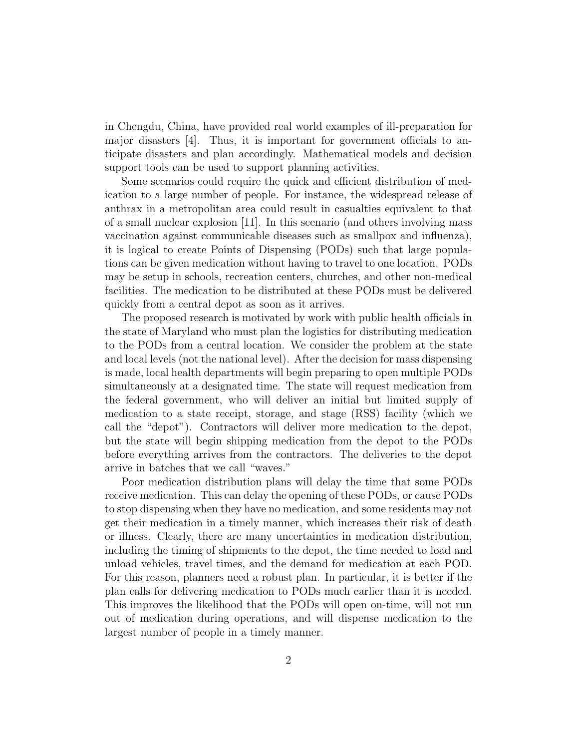in Chengdu, China, have provided real world examples of ill-preparation for major disasters [4]. Thus, it is important for government officials to anticipate disasters and plan accordingly. Mathematical models and decision support tools can be used to support planning activities.

Some scenarios could require the quick and efficient distribution of medication to a large number of people. For instance, the widespread release of anthrax in a metropolitan area could result in casualties equivalent to that of a small nuclear explosion [11]. In this scenario (and others involving mass vaccination against communicable diseases such as smallpox and influenza), it is logical to create Points of Dispensing (PODs) such that large populations can be given medication without having to travel to one location. PODs may be setup in schools, recreation centers, churches, and other non-medical facilities. The medication to be distributed at these PODs must be delivered quickly from a central depot as soon as it arrives.

The proposed research is motivated by work with public health officials in the state of Maryland who must plan the logistics for distributing medication to the PODs from a central location. We consider the problem at the state and local levels (not the national level). After the decision for mass dispensing is made, local health departments will begin preparing to open multiple PODs simultaneously at a designated time. The state will request medication from the federal government, who will deliver an initial but limited supply of medication to a state receipt, storage, and stage (RSS) facility (which we call the "depot"). Contractors will deliver more medication to the depot, but the state will begin shipping medication from the depot to the PODs before everything arrives from the contractors. The deliveries to the depot arrive in batches that we call "waves."

Poor medication distribution plans will delay the time that some PODs receive medication. This can delay the opening of these PODs, or cause PODs to stop dispensing when they have no medication, and some residents may not get their medication in a timely manner, which increases their risk of death or illness. Clearly, there are many uncertainties in medication distribution, including the timing of shipments to the depot, the time needed to load and unload vehicles, travel times, and the demand for medication at each POD. For this reason, planners need a robust plan. In particular, it is better if the plan calls for delivering medication to PODs much earlier than it is needed. This improves the likelihood that the PODs will open on-time, will not run out of medication during operations, and will dispense medication to the largest number of people in a timely manner.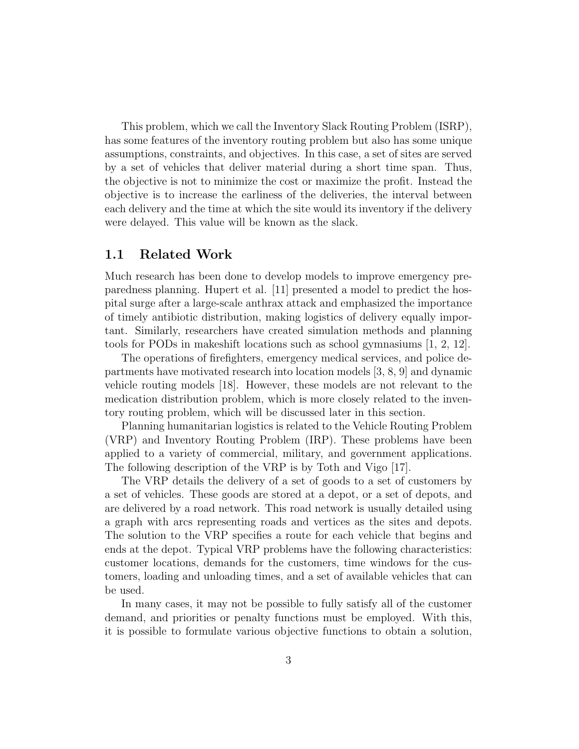This problem, which we call the Inventory Slack Routing Problem (ISRP), has some features of the inventory routing problem but also has some unique assumptions, constraints, and objectives. In this case, a set of sites are served by a set of vehicles that deliver material during a short time span. Thus, the objective is not to minimize the cost or maximize the profit. Instead the objective is to increase the earliness of the deliveries, the interval between each delivery and the time at which the site would its inventory if the delivery were delayed. This value will be known as the slack.

#### 1.1 Related Work

Much research has been done to develop models to improve emergency preparedness planning. Hupert et al. [11] presented a model to predict the hospital surge after a large-scale anthrax attack and emphasized the importance of timely antibiotic distribution, making logistics of delivery equally important. Similarly, researchers have created simulation methods and planning tools for PODs in makeshift locations such as school gymnasiums [1, 2, 12].

The operations of firefighters, emergency medical services, and police departments have motivated research into location models [3, 8, 9] and dynamic vehicle routing models [18]. However, these models are not relevant to the medication distribution problem, which is more closely related to the inventory routing problem, which will be discussed later in this section.

Planning humanitarian logistics is related to the Vehicle Routing Problem (VRP) and Inventory Routing Problem (IRP). These problems have been applied to a variety of commercial, military, and government applications. The following description of the VRP is by Toth and Vigo [17].

The VRP details the delivery of a set of goods to a set of customers by a set of vehicles. These goods are stored at a depot, or a set of depots, and are delivered by a road network. This road network is usually detailed using a graph with arcs representing roads and vertices as the sites and depots. The solution to the VRP specifies a route for each vehicle that begins and ends at the depot. Typical VRP problems have the following characteristics: customer locations, demands for the customers, time windows for the customers, loading and unloading times, and a set of available vehicles that can be used.

In many cases, it may not be possible to fully satisfy all of the customer demand, and priorities or penalty functions must be employed. With this, it is possible to formulate various objective functions to obtain a solution,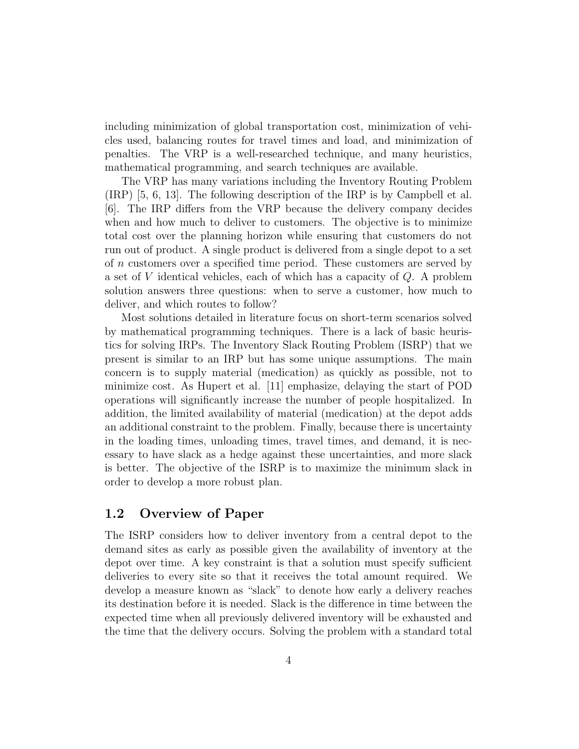including minimization of global transportation cost, minimization of vehicles used, balancing routes for travel times and load, and minimization of penalties. The VRP is a well-researched technique, and many heuristics, mathematical programming, and search techniques are available.

The VRP has many variations including the Inventory Routing Problem (IRP) [5, 6, 13]. The following description of the IRP is by Campbell et al. [6]. The IRP differs from the VRP because the delivery company decides when and how much to deliver to customers. The objective is to minimize total cost over the planning horizon while ensuring that customers do not run out of product. A single product is delivered from a single depot to a set of n customers over a specified time period. These customers are served by a set of V identical vehicles, each of which has a capacity of Q. A problem solution answers three questions: when to serve a customer, how much to deliver, and which routes to follow?

Most solutions detailed in literature focus on short-term scenarios solved by mathematical programming techniques. There is a lack of basic heuristics for solving IRPs. The Inventory Slack Routing Problem (ISRP) that we present is similar to an IRP but has some unique assumptions. The main concern is to supply material (medication) as quickly as possible, not to minimize cost. As Hupert et al. [11] emphasize, delaying the start of POD operations will significantly increase the number of people hospitalized. In addition, the limited availability of material (medication) at the depot adds an additional constraint to the problem. Finally, because there is uncertainty in the loading times, unloading times, travel times, and demand, it is necessary to have slack as a hedge against these uncertainties, and more slack is better. The objective of the ISRP is to maximize the minimum slack in order to develop a more robust plan.

#### 1.2 Overview of Paper

The ISRP considers how to deliver inventory from a central depot to the demand sites as early as possible given the availability of inventory at the depot over time. A key constraint is that a solution must specify sufficient deliveries to every site so that it receives the total amount required. We develop a measure known as "slack" to denote how early a delivery reaches its destination before it is needed. Slack is the difference in time between the expected time when all previously delivered inventory will be exhausted and the time that the delivery occurs. Solving the problem with a standard total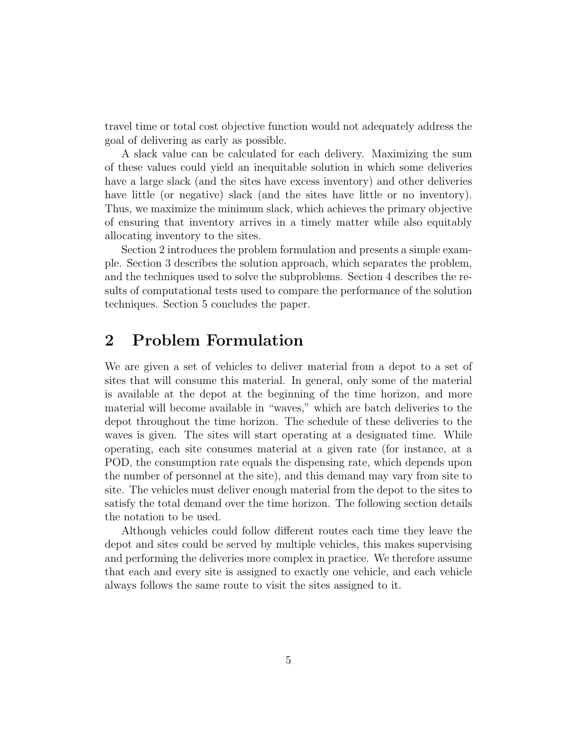travel time or total cost objective function would not adequately address the goal of delivering as early as possible.

A slack value can be calculated for each delivery. Maximizing the sum of these values could yield an inequitable solution in which some deliveries have a large slack (and the sites have excess inventory) and other deliveries have little (or negative) slack (and the sites have little or no inventory). Thus, we maximize the minimum slack, which achieves the primary objective of ensuring that inventory arrives in a timely matter while also equitably allocating inventory to the sites.

Section 2 introduces the problem formulation and presents a simple example. Section 3 describes the solution approach, which separates the problem, and the techniques used to solve the subproblems. Section 4 describes the results of computational tests used to compare the performance of the solution techniques. Section 5 concludes the paper.

# 2 Problem Formulation

We are given a set of vehicles to deliver material from a depot to a set of sites that will consume this material. In general, only some of the material is available at the depot at the beginning of the time horizon, and more material will become available in "waves," which are batch deliveries to the depot throughout the time horizon. The schedule of these deliveries to the waves is given. The sites will start operating at a designated time. While operating, each site consumes material at a given rate (for instance, at a POD, the consumption rate equals the dispensing rate, which depends upon the number of personnel at the site), and this demand may vary from site to site. The vehicles must deliver enough material from the depot to the sites to satisfy the total demand over the time horizon. The following section details the notation to be used.

Although vehicles could follow different routes each time they leave the depot and sites could be served by multiple vehicles, this makes supervising and performing the deliveries more complex in practice. We therefore assume that each and every site is assigned to exactly one vehicle, and each vehicle always follows the same route to visit the sites assigned to it.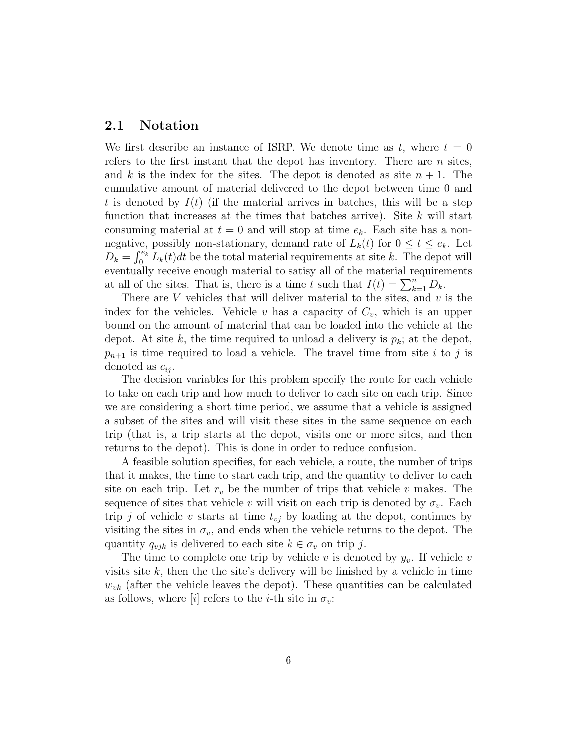#### 2.1 Notation

We first describe an instance of ISRP. We denote time as t, where  $t = 0$ refers to the first instant that the depot has inventory. There are  $n$  sites, and k is the index for the sites. The depot is denoted as site  $n + 1$ . The cumulative amount of material delivered to the depot between time 0 and t is denoted by  $I(t)$  (if the material arrives in batches, this will be a step function that increases at the times that batches arrive). Site  $k$  will start consuming material at  $t = 0$  and will stop at time  $e_k$ . Each site has a nonnegative, possibly non-stationary, demand rate of  $L_k(t)$  for  $0 \le t \le e_k$ . Let  $D_k = \int_0^{e_k} L_k(t) dt$  be the total material requirements at site k. The depot will eventually receive enough material to satisy all of the material requirements at all of the sites. That is, there is a time t such that  $I(t) = \sum_{k=1}^{n} D_k$ .

There are  $V$  vehicles that will deliver material to the sites, and  $v$  is the index for the vehicles. Vehicle v has a capacity of  $C_v$ , which is an upper bound on the amount of material that can be loaded into the vehicle at the depot. At site k, the time required to unload a delivery is  $p_k$ ; at the depot,  $p_{n+1}$  is time required to load a vehicle. The travel time from site i to j is denoted as  $c_{ij}$ .

The decision variables for this problem specify the route for each vehicle to take on each trip and how much to deliver to each site on each trip. Since we are considering a short time period, we assume that a vehicle is assigned a subset of the sites and will visit these sites in the same sequence on each trip (that is, a trip starts at the depot, visits one or more sites, and then returns to the depot). This is done in order to reduce confusion.

A feasible solution specifies, for each vehicle, a route, the number of trips that it makes, the time to start each trip, and the quantity to deliver to each site on each trip. Let  $r_v$  be the number of trips that vehicle v makes. The sequence of sites that vehicle v will visit on each trip is denoted by  $\sigma_v$ . Each trip j of vehicle v starts at time  $t_{vj}$  by loading at the depot, continues by visiting the sites in  $\sigma_v$ , and ends when the vehicle returns to the depot. The quantity  $q_{vjk}$  is delivered to each site  $k \in \sigma_v$  on trip j.

The time to complete one trip by vehicle v is denoted by  $y_v$ . If vehicle v visits site  $k$ , then the the site's delivery will be finished by a vehicle in time  $w_{vk}$  (after the vehicle leaves the depot). These quantities can be calculated as follows, where  $[i]$  refers to the *i*-th site in  $\sigma_v$ :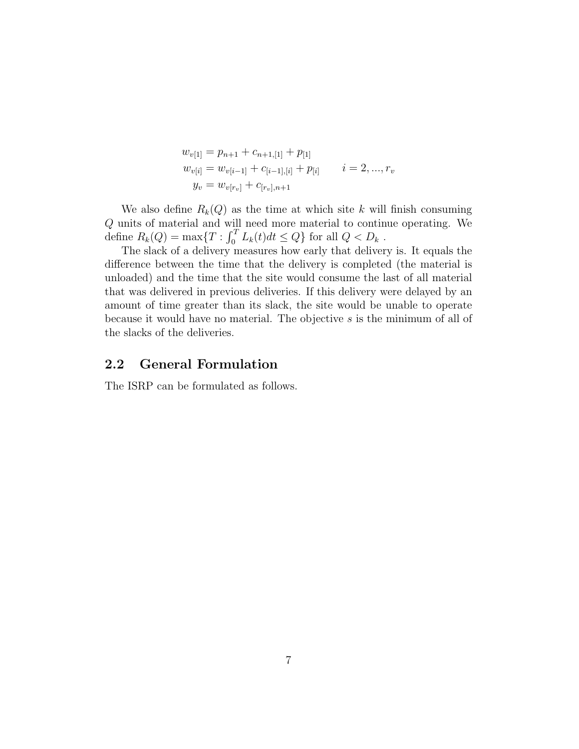$$
w_{v[1]} = p_{n+1} + c_{n+1,[1]} + p_{[1]}
$$
  
\n
$$
w_{v[i]} = w_{v[i-1]} + c_{[i-1],[i]} + p_{[i]}
$$
  
\n
$$
i = 2, ..., r_v
$$
  
\n
$$
y_v = w_{v[r_v]} + c_{[r_v],n+1}
$$

We also define  $R_k(Q)$  as the time at which site k will finish consuming Q units of material and will need more material to continue operating. We define  $R_k(Q) = \max\{T : \int_0^T L_k(t)dt \le Q\}$  for all  $Q < D_k$ .

The slack of a delivery measures how early that delivery is. It equals the difference between the time that the delivery is completed (the material is unloaded) and the time that the site would consume the last of all material that was delivered in previous deliveries. If this delivery were delayed by an amount of time greater than its slack, the site would be unable to operate because it would have no material. The objective s is the minimum of all of the slacks of the deliveries.

#### 2.2 General Formulation

The ISRP can be formulated as follows.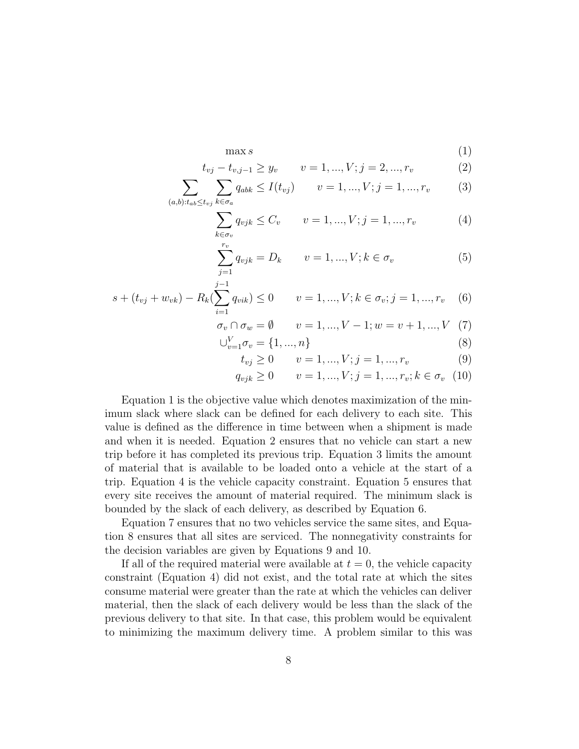$$
\max s \tag{1}
$$

$$
t_{vj} - t_{v,j-1} \ge y_v \qquad v = 1, ..., V; j = 2, ..., r_v \tag{2}
$$

$$
\sum_{(a,b):t_{ab}\leq t_{vj}} \sum_{k\in\sigma_a} q_{abk} \leq I(t_{vj}) \qquad v = 1, ..., V; j = 1, ..., r_v \tag{3}
$$

$$
\sum_{k \in \sigma_v} q_{vjk} \le C_v \qquad v = 1, ..., V; j = 1, ..., r_v \tag{4}
$$

$$
\sum_{j=1}^{r_v} q_{vjk} = D_k \qquad v = 1, ..., V; k \in \sigma_v \tag{5}
$$

$$
s + (t_{vj} + w_{vk}) - R_k(\sum_{i=1}^{j-1} q_{vik}) \le 0 \qquad v = 1, ..., V; k \in \sigma_v; j = 1, ..., r_v \quad (6)
$$

$$
\sigma_v \cap \sigma_w = \emptyset \qquad v = 1, ..., V - 1; w = v + 1, ..., V \quad (7)
$$

 $\bigcup_{v=1}^{V} \sigma_v = \{1, ..., n\}$  (8)

$$
t_{vj} \ge 0 \qquad v = 1, ..., V; j = 1, ..., r_v \tag{9}
$$

$$
q_{vjk} \ge 0 \qquad v = 1, ..., V; j = 1, ..., r_v; k \in \sigma_v \quad (10)
$$

Equation 1 is the objective value which denotes maximization of the minimum slack where slack can be defined for each delivery to each site. This value is defined as the difference in time between when a shipment is made and when it is needed. Equation 2 ensures that no vehicle can start a new trip before it has completed its previous trip. Equation 3 limits the amount of material that is available to be loaded onto a vehicle at the start of a trip. Equation 4 is the vehicle capacity constraint. Equation 5 ensures that every site receives the amount of material required. The minimum slack is bounded by the slack of each delivery, as described by Equation 6.

Equation 7 ensures that no two vehicles service the same sites, and Equation 8 ensures that all sites are serviced. The nonnegativity constraints for the decision variables are given by Equations 9 and 10.

If all of the required material were available at  $t = 0$ , the vehicle capacity constraint (Equation 4) did not exist, and the total rate at which the sites consume material were greater than the rate at which the vehicles can deliver material, then the slack of each delivery would be less than the slack of the previous delivery to that site. In that case, this problem would be equivalent to minimizing the maximum delivery time. A problem similar to this was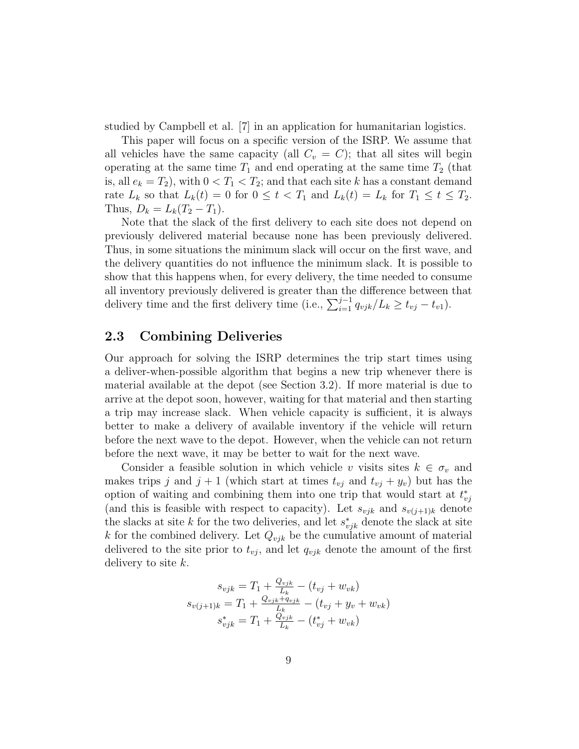studied by Campbell et al. [7] in an application for humanitarian logistics.

This paper will focus on a specific version of the ISRP. We assume that all vehicles have the same capacity (all  $C_v = C$ ); that all sites will begin operating at the same time  $T_1$  and end operating at the same time  $T_2$  (that is, all  $e_k = T_2$ , with  $0 < T_1 < T_2$ ; and that each site k has a constant demand rate  $L_k$  so that  $L_k(t) = 0$  for  $0 \le t < T_1$  and  $L_k(t) = L_k$  for  $T_1 \le t \le T_2$ . Thus,  $D_k = L_k(T_2 - T_1)$ .

Note that the slack of the first delivery to each site does not depend on previously delivered material because none has been previously delivered. Thus, in some situations the minimum slack will occur on the first wave, and the delivery quantities do not influence the minimum slack. It is possible to show that this happens when, for every delivery, the time needed to consume all inventory previously delivered is greater than the difference between that delivery time and the first delivery time (i.e.,  $\sum_{i=1}^{j-1} q_{vjk}/L_k \ge t_{vj} - t_{v1}$ ).

#### 2.3 Combining Deliveries

Our approach for solving the ISRP determines the trip start times using a deliver-when-possible algorithm that begins a new trip whenever there is material available at the depot (see Section 3.2). If more material is due to arrive at the depot soon, however, waiting for that material and then starting a trip may increase slack. When vehicle capacity is sufficient, it is always better to make a delivery of available inventory if the vehicle will return before the next wave to the depot. However, when the vehicle can not return before the next wave, it may be better to wait for the next wave.

Consider a feasible solution in which vehicle v visits sites  $k \in \sigma_v$  and makes trips j and  $j + 1$  (which start at times  $t_{vj}$  and  $t_{vj} + y_v$ ) but has the option of waiting and combining them into one trip that would start at  $t_{vj}^*$ (and this is feasible with respect to capacity). Let  $s_{vjk}$  and  $s_{v(j+1)k}$  denote the slacks at site k for the two deliveries, and let  $s_{vjk}^*$  denote the slack at site k for the combined delivery. Let  $Q_{vjk}$  be the cumulative amount of material delivered to the site prior to  $t_{vj}$ , and let  $q_{vjk}$  denote the amount of the first delivery to site  $k$ .

$$
s_{vjk} = T_1 + \frac{Q_{vjk}}{L_k} - (t_{vj} + w_{vk})
$$
  

$$
s_{v(j+1)k} = T_1 + \frac{Q_{vjk} + q_{vjk}}{L_k} - (t_{vj} + y_v + w_{vk})
$$
  

$$
s_{vjk}^* = T_1 + \frac{Q_{vjk}}{L_k} - (t_{vj}^* + w_{vk})
$$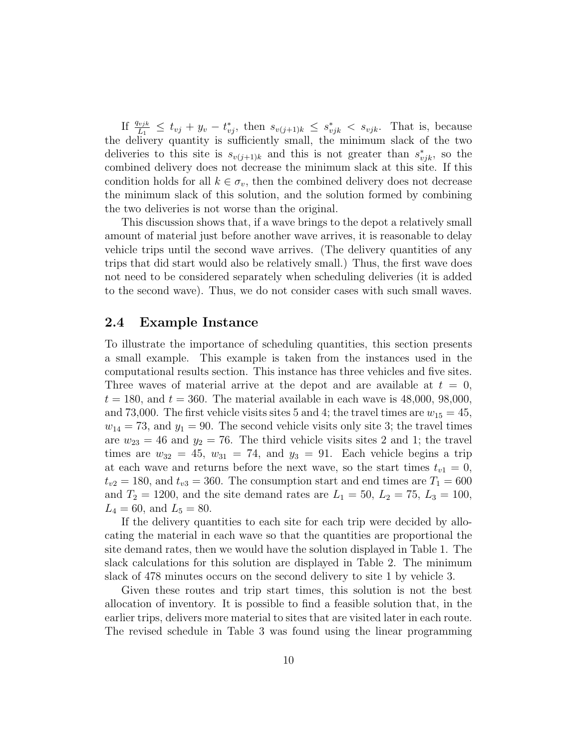If  $\frac{q_{vjk}}{L_1} \leq t_{vj} + y_v - t_{vj}^*$ , then  $s_{v(j+1)k} \leq s_{vjk}^* < s_{vjk}$ . That is, because the delivery quantity is sufficiently small, the minimum slack of the two deliveries to this site is  $s_{v(j+1)k}$  and this is not greater than  $s_{vjk}^*$ , so the combined delivery does not decrease the minimum slack at this site. If this condition holds for all  $k \in \sigma_v$ , then the combined delivery does not decrease the minimum slack of this solution, and the solution formed by combining the two deliveries is not worse than the original.

This discussion shows that, if a wave brings to the depot a relatively small amount of material just before another wave arrives, it is reasonable to delay vehicle trips until the second wave arrives. (The delivery quantities of any trips that did start would also be relatively small.) Thus, the first wave does not need to be considered separately when scheduling deliveries (it is added to the second wave). Thus, we do not consider cases with such small waves.

#### 2.4 Example Instance

To illustrate the importance of scheduling quantities, this section presents a small example. This example is taken from the instances used in the computational results section. This instance has three vehicles and five sites. Three waves of material arrive at the depot and are available at  $t = 0$ ,  $t = 180$ , and  $t = 360$ . The material available in each wave is 48,000, 98,000, and 73,000. The first vehicle visits sites 5 and 4; the travel times are  $w_{15} = 45$ ,  $w_{14} = 73$ , and  $y_1 = 90$ . The second vehicle visits only site 3; the travel times are  $w_{23} = 46$  and  $y_2 = 76$ . The third vehicle visits sites 2 and 1; the travel times are  $w_{32} = 45$ ,  $w_{31} = 74$ , and  $y_3 = 91$ . Each vehicle begins a trip at each wave and returns before the next wave, so the start times  $t_{v1} = 0$ ,  $t_{v2} = 180$ , and  $t_{v3} = 360$ . The consumption start and end times are  $T_1 = 600$ and  $T_2 = 1200$ , and the site demand rates are  $L_1 = 50$ ,  $L_2 = 75$ ,  $L_3 = 100$ ,  $L_4 = 60$ , and  $L_5 = 80$ .

If the delivery quantities to each site for each trip were decided by allocating the material in each wave so that the quantities are proportional the site demand rates, then we would have the solution displayed in Table 1. The slack calculations for this solution are displayed in Table 2. The minimum slack of 478 minutes occurs on the second delivery to site 1 by vehicle 3.

Given these routes and trip start times, this solution is not the best allocation of inventory. It is possible to find a feasible solution that, in the earlier trips, delivers more material to sites that are visited later in each route. The revised schedule in Table 3 was found using the linear programming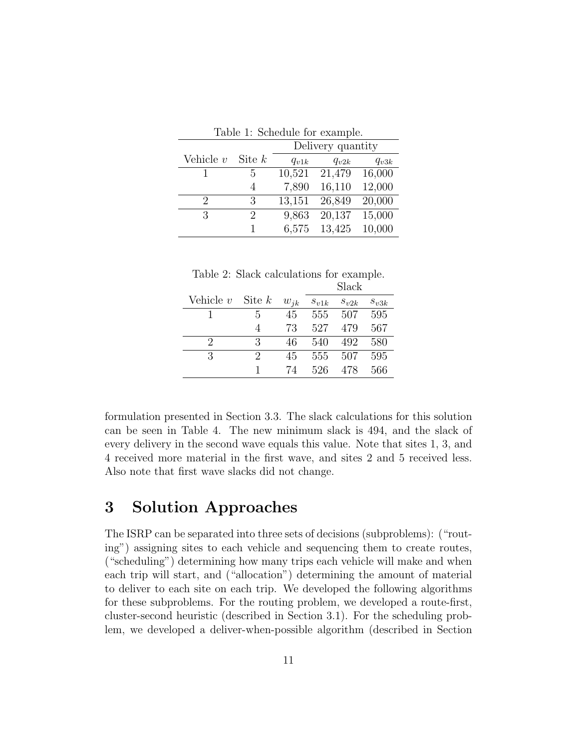|               | rable reported the example. |                   |           |           |  |  |  |
|---------------|-----------------------------|-------------------|-----------|-----------|--|--|--|
|               |                             | Delivery quantity |           |           |  |  |  |
| Vehicle $v$   | Site $k$                    | $q_{v1k}$         | $q_{v2k}$ | $q_{v3k}$ |  |  |  |
|               | 5                           | 10,521            | 21,479    | 16,000    |  |  |  |
|               | 4                           | 7,890             | 16,110    | 12,000    |  |  |  |
| $\mathcal{D}$ | 3                           | 13,151            | 26,849    | 20,000    |  |  |  |
| 3             | 2                           | 9,863             | 20,137    | 15,000    |  |  |  |
|               | 1                           | 6,575             | 13,425    | 10,000    |  |  |  |

Table 1: Schodule for example.

|  |  |  | Table 2: Slack calculations for example. |
|--|--|--|------------------------------------------|
|  |  |  | $C_{\text{back}}$                        |

|                      |   |          |           | әнаск     |           |
|----------------------|---|----------|-----------|-----------|-----------|
| Vehicle $v$ Site $k$ |   | $w_{ik}$ | $s_{v1k}$ | $s_{v2k}$ | $s_{v3k}$ |
|                      | 5 | 45       | 555       | 507       | 595       |
|                      | 4 | 73       | 527       | 479       | 567       |
| $\mathcal{P}$        | 3 | 46       | 540       | 492       | 580       |
| 3                    | 2 | 45       | 555       | 507       | 595       |
|                      | 1 | 74       | 526       | 478       | 566       |

formulation presented in Section 3.3. The slack calculations for this solution can be seen in Table 4. The new minimum slack is 494, and the slack of every delivery in the second wave equals this value. Note that sites 1, 3, and 4 received more material in the first wave, and sites 2 and 5 received less. Also note that first wave slacks did not change.

# 3 Solution Approaches

The ISRP can be separated into three sets of decisions (subproblems): ("routing") assigning sites to each vehicle and sequencing them to create routes, ("scheduling") determining how many trips each vehicle will make and when each trip will start, and ("allocation") determining the amount of material to deliver to each site on each trip. We developed the following algorithms for these subproblems. For the routing problem, we developed a route-first, cluster-second heuristic (described in Section 3.1). For the scheduling problem, we developed a deliver-when-possible algorithm (described in Section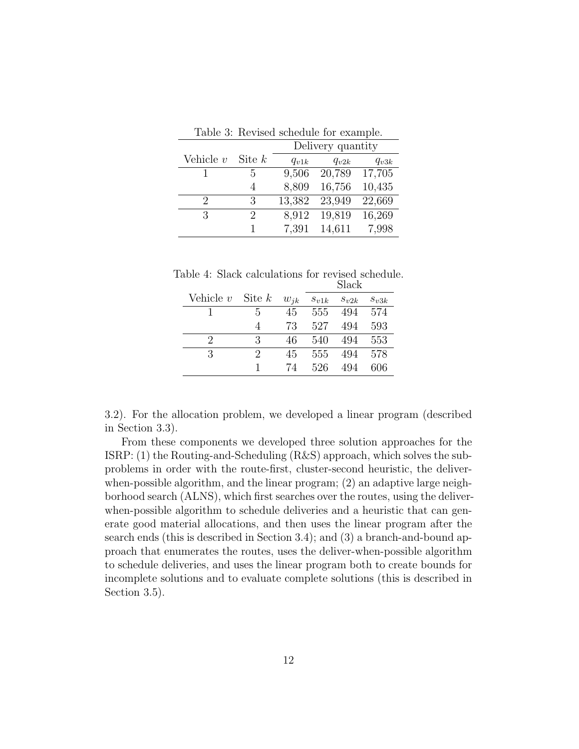|               |          |                   | rapio o. recynou ponouaio ior champio. |           |  |
|---------------|----------|-------------------|----------------------------------------|-----------|--|
|               |          | Delivery quantity |                                        |           |  |
| Vehicle $v$   | Site $k$ | $q_{v1k}$         | $q_{v2k}$                              | $q_{v3k}$ |  |
|               | 5        | 9,506             | 20,789                                 | 17,705    |  |
|               | 4        | 8,809             | 16,756                                 | 10,435    |  |
| $\mathcal{P}$ | 3        | 13,382            | 23,949                                 | 22,669    |  |
| 3             | 2        | 8,912             | 19,819                                 | 16,269    |  |
|               |          | 7,391             | 14,611                                 | 7,998     |  |

Table 3: Revised schedule for example.

|  | Table 4: Slack calculations for revised schedule. |       |  |
|--|---------------------------------------------------|-------|--|
|  |                                                   | Slack |  |

|             |          |          |           | ~~~~~     |           |
|-------------|----------|----------|-----------|-----------|-----------|
| Vehicle $v$ | Site $k$ | $w_{ik}$ | $s_{v1k}$ | $s_{v2k}$ | $s_{v3k}$ |
|             | 5        | 45       | 555       | 494       | 574       |
|             | 4        | 73       | 527       | 494       | 593       |
| $\Omega$    | 3        | 46       | 540       | 494       | 553       |
| 3           | 9        | 45       | 555       | 494       | 578       |
|             | 1        | 74       | 526       | 494       | 606       |

3.2). For the allocation problem, we developed a linear program (described in Section 3.3).

From these components we developed three solution approaches for the ISRP: (1) the Routing-and-Scheduling (R&S) approach, which solves the subproblems in order with the route-first, cluster-second heuristic, the deliverwhen-possible algorithm, and the linear program; (2) an adaptive large neighborhood search (ALNS), which first searches over the routes, using the deliverwhen-possible algorithm to schedule deliveries and a heuristic that can generate good material allocations, and then uses the linear program after the search ends (this is described in Section 3.4); and (3) a branch-and-bound approach that enumerates the routes, uses the deliver-when-possible algorithm to schedule deliveries, and uses the linear program both to create bounds for incomplete solutions and to evaluate complete solutions (this is described in Section 3.5).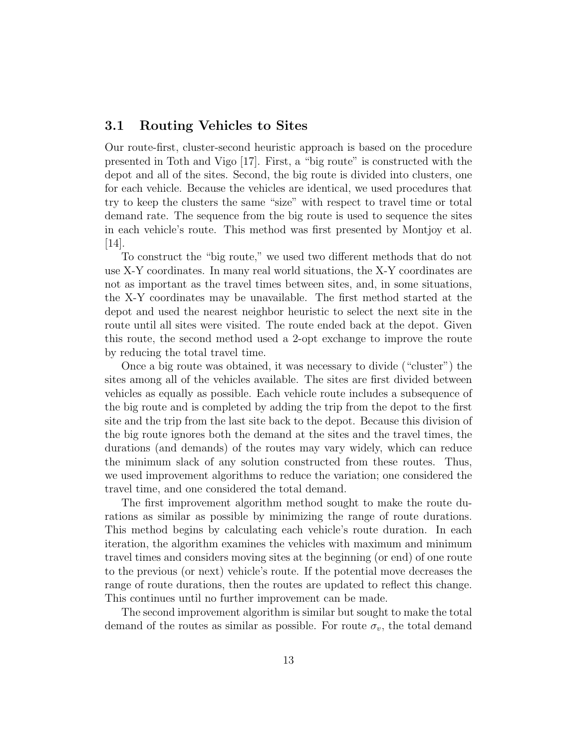#### 3.1 Routing Vehicles to Sites

Our route-first, cluster-second heuristic approach is based on the procedure presented in Toth and Vigo [17]. First, a "big route" is constructed with the depot and all of the sites. Second, the big route is divided into clusters, one for each vehicle. Because the vehicles are identical, we used procedures that try to keep the clusters the same "size" with respect to travel time or total demand rate. The sequence from the big route is used to sequence the sites in each vehicle's route. This method was first presented by Montjoy et al. [14].

To construct the "big route," we used two different methods that do not use X-Y coordinates. In many real world situations, the X-Y coordinates are not as important as the travel times between sites, and, in some situations, the X-Y coordinates may be unavailable. The first method started at the depot and used the nearest neighbor heuristic to select the next site in the route until all sites were visited. The route ended back at the depot. Given this route, the second method used a 2-opt exchange to improve the route by reducing the total travel time.

Once a big route was obtained, it was necessary to divide ("cluster") the sites among all of the vehicles available. The sites are first divided between vehicles as equally as possible. Each vehicle route includes a subsequence of the big route and is completed by adding the trip from the depot to the first site and the trip from the last site back to the depot. Because this division of the big route ignores both the demand at the sites and the travel times, the durations (and demands) of the routes may vary widely, which can reduce the minimum slack of any solution constructed from these routes. Thus, we used improvement algorithms to reduce the variation; one considered the travel time, and one considered the total demand.

The first improvement algorithm method sought to make the route durations as similar as possible by minimizing the range of route durations. This method begins by calculating each vehicle's route duration. In each iteration, the algorithm examines the vehicles with maximum and minimum travel times and considers moving sites at the beginning (or end) of one route to the previous (or next) vehicle's route. If the potential move decreases the range of route durations, then the routes are updated to reflect this change. This continues until no further improvement can be made.

The second improvement algorithm is similar but sought to make the total demand of the routes as similar as possible. For route  $\sigma_v$ , the total demand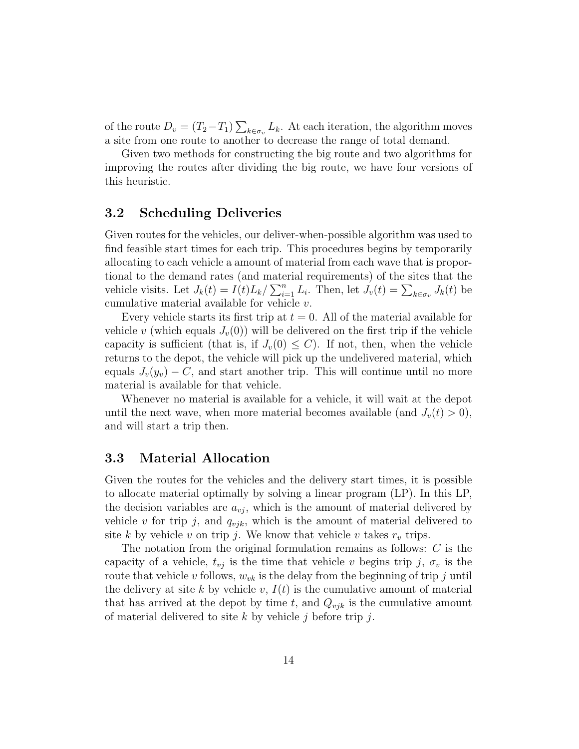of the route  $D_v = (T_2 - T_1) \sum_{k \in \sigma_v} L_k$ . At each iteration, the algorithm moves a site from one route to another to decrease the range of total demand.

Given two methods for constructing the big route and two algorithms for improving the routes after dividing the big route, we have four versions of this heuristic.

#### 3.2 Scheduling Deliveries

Given routes for the vehicles, our deliver-when-possible algorithm was used to find feasible start times for each trip. This procedures begins by temporarily allocating to each vehicle a amount of material from each wave that is proportional to the demand rates (and material requirements) of the sites that the vehicle visits. Let  $J_k(t) = I(t)L_k / \sum_{i=1}^n L_i$ . Then, let  $J_v(t) = \sum_{k \in \sigma_v} J_k(t)$  be cumulative material available for vehicle  $v$ .

Every vehicle starts its first trip at  $t = 0$ . All of the material available for vehicle v (which equals  $J_v(0)$ ) will be delivered on the first trip if the vehicle capacity is sufficient (that is, if  $J_v(0) \leq C$ ). If not, then, when the vehicle returns to the depot, the vehicle will pick up the undelivered material, which equals  $J_v(y_v) - C$ , and start another trip. This will continue until no more material is available for that vehicle.

Whenever no material is available for a vehicle, it will wait at the depot until the next wave, when more material becomes available (and  $J_v(t) > 0$ ), and will start a trip then.

#### 3.3 Material Allocation

Given the routes for the vehicles and the delivery start times, it is possible to allocate material optimally by solving a linear program (LP). In this LP, the decision variables are  $a_{vi}$ , which is the amount of material delivered by vehicle v for trip j, and  $q_{vjk}$ , which is the amount of material delivered to site k by vehicle v on trip j. We know that vehicle v takes  $r_v$  trips.

The notation from the original formulation remains as follows: C is the capacity of a vehicle,  $t_{vj}$  is the time that vehicle v begins trip j,  $\sigma_v$  is the route that vehicle v follows,  $w_{vk}$  is the delay from the beginning of trip j until the delivery at site k by vehicle v,  $I(t)$  is the cumulative amount of material that has arrived at the depot by time t, and  $Q_{vjk}$  is the cumulative amount of material delivered to site  $k$  by vehicle j before trip j.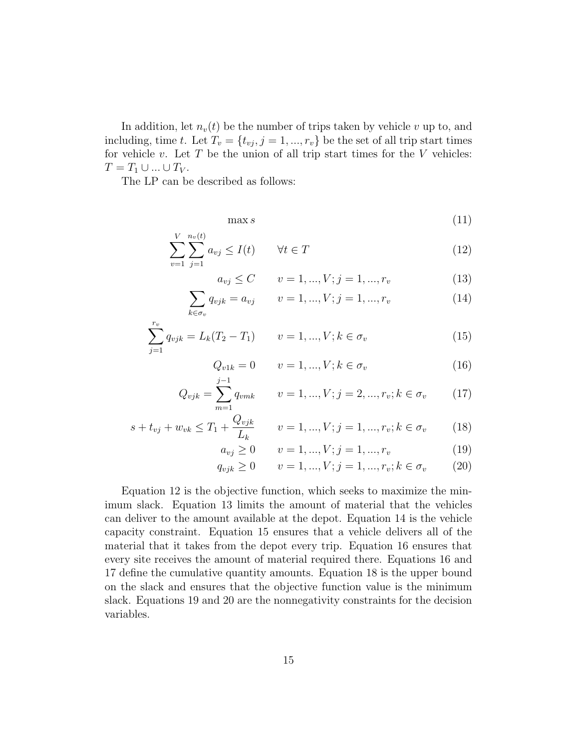In addition, let  $n_v(t)$  be the number of trips taken by vehicle v up to, and including, time t. Let  $T_v = \{t_{vj}, j = 1, ..., r_v\}$  be the set of all trip start times for vehicle  $v$ . Let  $T$  be the union of all trip start times for the  $V$  vehicles:  $T = T_1 \cup ... \cup T_V$ .

The LP can be described as follows:

$$
\max s \tag{11}
$$

$$
\sum_{v=1}^{V} \sum_{j=1}^{n_v(t)} a_{vj} \le I(t) \qquad \forall t \in T
$$
\n(12)

$$
a_{vj} \le C \qquad v = 1, ..., V; j = 1, ..., r_v \tag{13}
$$

$$
\sum_{k \in \sigma_v} q_{vjk} = a_{vj} \qquad v = 1, ..., V; j = 1, ..., r_v \tag{14}
$$

$$
\sum_{j=1}^{r_v} q_{vjk} = L_k(T_2 - T_1) \qquad v = 1, ..., V; k \in \sigma_v
$$
\n(15)

$$
Q_{v1k} = 0 \t v = 1, ..., V; k \in \sigma_v \t (16)
$$

$$
Q_{vjk} = \sum_{m=1}^{J-1} q_{vmk} \qquad v = 1, ..., V; j = 2, ..., r_v; k \in \sigma_v \tag{17}
$$

$$
s + t_{vj} + w_{vk} \le T_1 + \frac{Q_{vjk}}{L_k} \qquad v = 1, ..., V; j = 1, ..., r_v; k \in \sigma_v \tag{18}
$$

$$
a_{vj} \ge 0 \qquad v = 1, ..., V; j = 1, ..., r_v \tag{19}
$$

$$
q_{vjk} \ge 0 \qquad v = 1, ..., V; j = 1, ..., r_v; k \in \sigma_v \tag{20}
$$

Equation 12 is the objective function, which seeks to maximize the minimum slack. Equation 13 limits the amount of material that the vehicles can deliver to the amount available at the depot. Equation 14 is the vehicle capacity constraint. Equation 15 ensures that a vehicle delivers all of the material that it takes from the depot every trip. Equation 16 ensures that every site receives the amount of material required there. Equations 16 and 17 define the cumulative quantity amounts. Equation 18 is the upper bound on the slack and ensures that the objective function value is the minimum slack. Equations 19 and 20 are the nonnegativity constraints for the decision variables.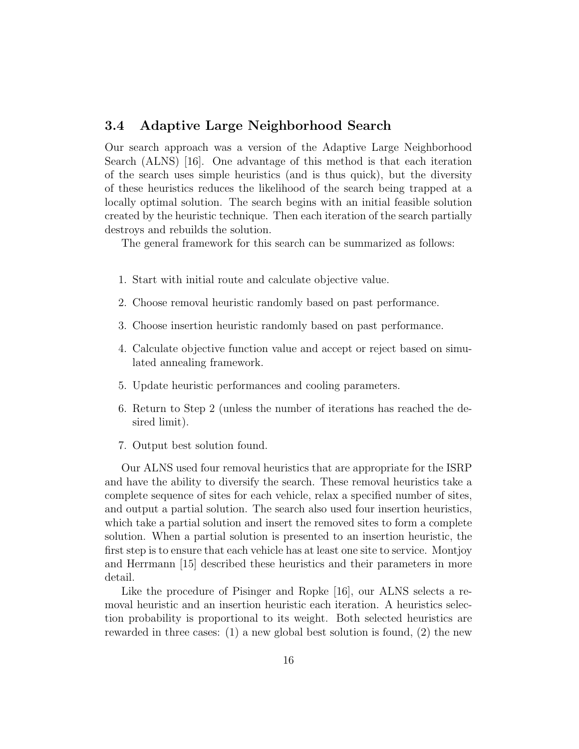#### 3.4 Adaptive Large Neighborhood Search

Our search approach was a version of the Adaptive Large Neighborhood Search (ALNS) [16]. One advantage of this method is that each iteration of the search uses simple heuristics (and is thus quick), but the diversity of these heuristics reduces the likelihood of the search being trapped at a locally optimal solution. The search begins with an initial feasible solution created by the heuristic technique. Then each iteration of the search partially destroys and rebuilds the solution.

The general framework for this search can be summarized as follows:

- 1. Start with initial route and calculate objective value.
- 2. Choose removal heuristic randomly based on past performance.
- 3. Choose insertion heuristic randomly based on past performance.
- 4. Calculate objective function value and accept or reject based on simulated annealing framework.
- 5. Update heuristic performances and cooling parameters.
- 6. Return to Step 2 (unless the number of iterations has reached the desired limit).
- 7. Output best solution found.

Our ALNS used four removal heuristics that are appropriate for the ISRP and have the ability to diversify the search. These removal heuristics take a complete sequence of sites for each vehicle, relax a specified number of sites, and output a partial solution. The search also used four insertion heuristics, which take a partial solution and insert the removed sites to form a complete solution. When a partial solution is presented to an insertion heuristic, the first step is to ensure that each vehicle has at least one site to service. Montjoy and Herrmann [15] described these heuristics and their parameters in more detail.

Like the procedure of Pisinger and Ropke [16], our ALNS selects a removal heuristic and an insertion heuristic each iteration. A heuristics selection probability is proportional to its weight. Both selected heuristics are rewarded in three cases: (1) a new global best solution is found, (2) the new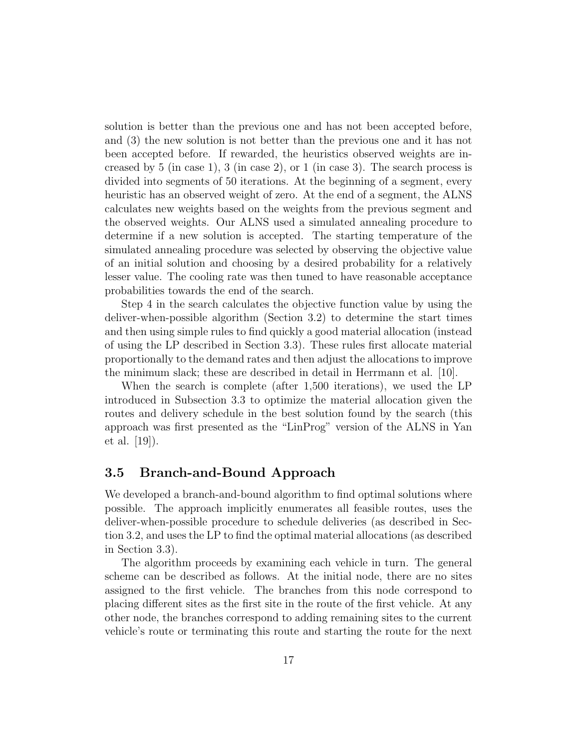solution is better than the previous one and has not been accepted before, and (3) the new solution is not better than the previous one and it has not been accepted before. If rewarded, the heuristics observed weights are increased by 5 (in case 1), 3 (in case 2), or 1 (in case 3). The search process is divided into segments of 50 iterations. At the beginning of a segment, every heuristic has an observed weight of zero. At the end of a segment, the ALNS calculates new weights based on the weights from the previous segment and the observed weights. Our ALNS used a simulated annealing procedure to determine if a new solution is accepted. The starting temperature of the simulated annealing procedure was selected by observing the objective value of an initial solution and choosing by a desired probability for a relatively lesser value. The cooling rate was then tuned to have reasonable acceptance probabilities towards the end of the search.

Step 4 in the search calculates the objective function value by using the deliver-when-possible algorithm (Section 3.2) to determine the start times and then using simple rules to find quickly a good material allocation (instead of using the LP described in Section 3.3). These rules first allocate material proportionally to the demand rates and then adjust the allocations to improve the minimum slack; these are described in detail in Herrmann et al. [10].

When the search is complete (after 1,500 iterations), we used the LP introduced in Subsection 3.3 to optimize the material allocation given the routes and delivery schedule in the best solution found by the search (this approach was first presented as the "LinProg" version of the ALNS in Yan et al. [19]).

#### 3.5 Branch-and-Bound Approach

We developed a branch-and-bound algorithm to find optimal solutions where possible. The approach implicitly enumerates all feasible routes, uses the deliver-when-possible procedure to schedule deliveries (as described in Section 3.2, and uses the LP to find the optimal material allocations (as described in Section 3.3).

The algorithm proceeds by examining each vehicle in turn. The general scheme can be described as follows. At the initial node, there are no sites assigned to the first vehicle. The branches from this node correspond to placing different sites as the first site in the route of the first vehicle. At any other node, the branches correspond to adding remaining sites to the current vehicle's route or terminating this route and starting the route for the next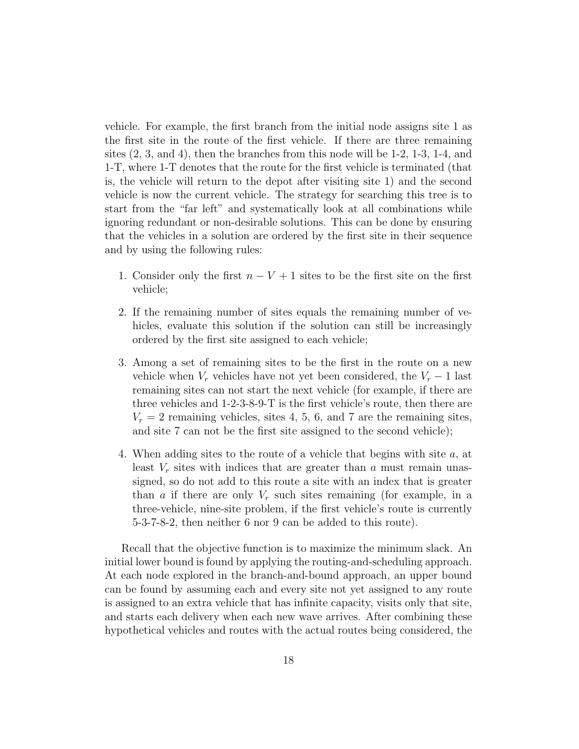vehicle. For example, the first branch from the initial node assigns site 1 as the first site in the route of the first vehicle. If there are three remaining sites  $(2, 3, \text{ and } 4)$ , then the branches from this node will be 1-2, 1-3, 1-4, and 1-T, where 1-T denotes that the route for the first vehicle is terminated (that is, the vehicle will return to the depot after visiting site 1) and the second vehicle is now the current vehicle. The strategy for searching this tree is to start from the "far left" and systematically look at all combinations while ignoring redundant or non-desirable solutions. This can be done by ensuring that the vehicles in a solution are ordered by the first site in their sequence and by using the following rules:

- 1. Consider only the first  $n V + 1$  sites to be the first site on the first vehicle;
- 2. If the remaining number of sites equals the remaining number of vehicles, evaluate this solution if the solution can still be increasingly ordered by the first site assigned to each vehicle;
- 3. Among a set of remaining sites to be the first in the route on a new vehicle when  $V_r$  vehicles have not yet been considered, the  $V_r - 1$  last remaining sites can not start the next vehicle (for example, if there are three vehicles and 1-2-3-8-9-T is the first vehicle's route, then there are  $V_r = 2$  remaining vehicles, sites 4, 5, 6, and 7 are the remaining sites, and site 7 can not be the first site assigned to the second vehicle);
- 4. When adding sites to the route of a vehicle that begins with site a, at least  $V_r$  sites with indices that are greater than  $a$  must remain unassigned, so do not add to this route a site with an index that is greater than a if there are only  $V_r$  such sites remaining (for example, in a three-vehicle, nine-site problem, if the first vehicle's route is currently 5-3-7-8-2, then neither 6 nor 9 can be added to this route).

Recall that the objective function is to maximize the minimum slack. An initial lower bound is found by applying the routing-and-scheduling approach. At each node explored in the branch-and-bound approach, an upper bound can be found by assuming each and every site not yet assigned to any route is assigned to an extra vehicle that has infinite capacity, visits only that site, and starts each delivery when each new wave arrives. After combining these hypothetical vehicles and routes with the actual routes being considered, the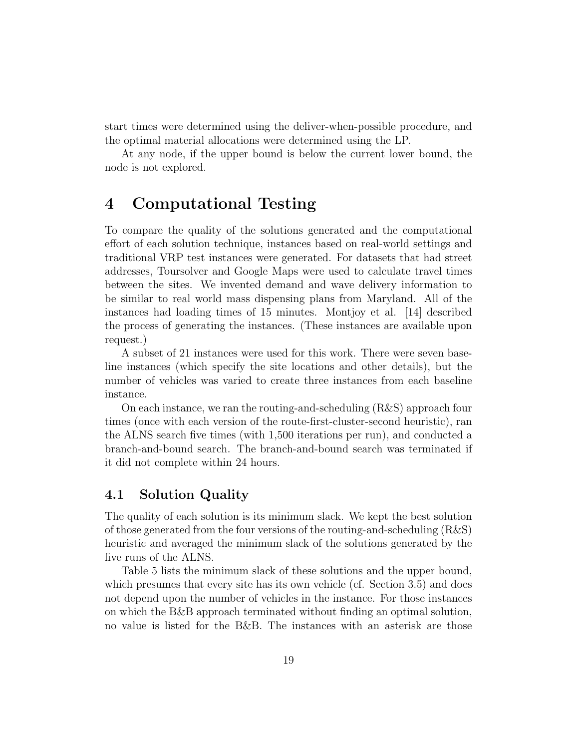start times were determined using the deliver-when-possible procedure, and the optimal material allocations were determined using the LP.

At any node, if the upper bound is below the current lower bound, the node is not explored.

## 4 Computational Testing

To compare the quality of the solutions generated and the computational effort of each solution technique, instances based on real-world settings and traditional VRP test instances were generated. For datasets that had street addresses, Toursolver and Google Maps were used to calculate travel times between the sites. We invented demand and wave delivery information to be similar to real world mass dispensing plans from Maryland. All of the instances had loading times of 15 minutes. Montjoy et al. [14] described the process of generating the instances. (These instances are available upon request.)

A subset of 21 instances were used for this work. There were seven baseline instances (which specify the site locations and other details), but the number of vehicles was varied to create three instances from each baseline instance.

On each instance, we ran the routing-and-scheduling (R&S) approach four times (once with each version of the route-first-cluster-second heuristic), ran the ALNS search five times (with 1,500 iterations per run), and conducted a branch-and-bound search. The branch-and-bound search was terminated if it did not complete within 24 hours.

#### 4.1 Solution Quality

The quality of each solution is its minimum slack. We kept the best solution of those generated from the four versions of the routing-and-scheduling (R&S) heuristic and averaged the minimum slack of the solutions generated by the five runs of the ALNS.

Table 5 lists the minimum slack of these solutions and the upper bound, which presumes that every site has its own vehicle (cf. Section 3.5) and does not depend upon the number of vehicles in the instance. For those instances on which the B&B approach terminated without finding an optimal solution, no value is listed for the B&B. The instances with an asterisk are those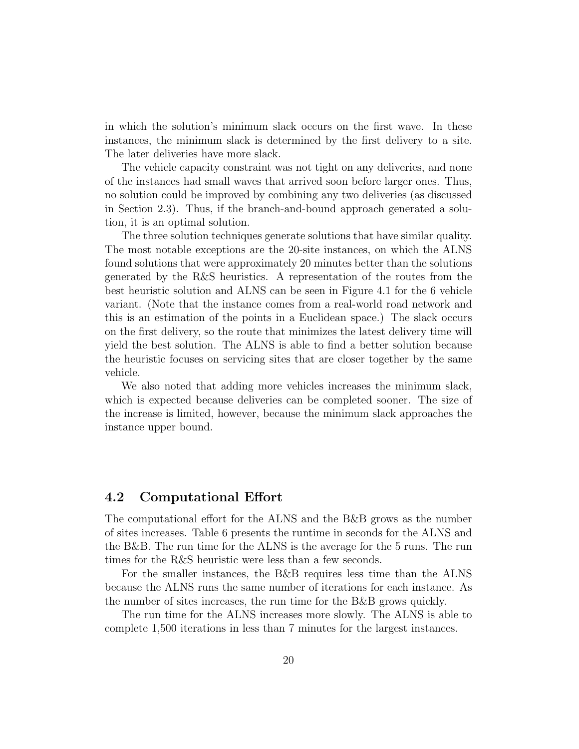in which the solution's minimum slack occurs on the first wave. In these instances, the minimum slack is determined by the first delivery to a site. The later deliveries have more slack.

The vehicle capacity constraint was not tight on any deliveries, and none of the instances had small waves that arrived soon before larger ones. Thus, no solution could be improved by combining any two deliveries (as discussed in Section 2.3). Thus, if the branch-and-bound approach generated a solution, it is an optimal solution.

The three solution techniques generate solutions that have similar quality. The most notable exceptions are the 20-site instances, on which the ALNS found solutions that were approximately 20 minutes better than the solutions generated by the R&S heuristics. A representation of the routes from the best heuristic solution and ALNS can be seen in Figure 4.1 for the 6 vehicle variant. (Note that the instance comes from a real-world road network and this is an estimation of the points in a Euclidean space.) The slack occurs on the first delivery, so the route that minimizes the latest delivery time will yield the best solution. The ALNS is able to find a better solution because the heuristic focuses on servicing sites that are closer together by the same vehicle.

We also noted that adding more vehicles increases the minimum slack, which is expected because deliveries can be completed sooner. The size of the increase is limited, however, because the minimum slack approaches the instance upper bound.

#### 4.2 Computational Effort

The computational effort for the ALNS and the B&B grows as the number of sites increases. Table 6 presents the runtime in seconds for the ALNS and the B&B. The run time for the ALNS is the average for the 5 runs. The run times for the R&S heuristic were less than a few seconds.

For the smaller instances, the B&B requires less time than the ALNS because the ALNS runs the same number of iterations for each instance. As the number of sites increases, the run time for the B&B grows quickly.

The run time for the ALNS increases more slowly. The ALNS is able to complete 1,500 iterations in less than 7 minutes for the largest instances.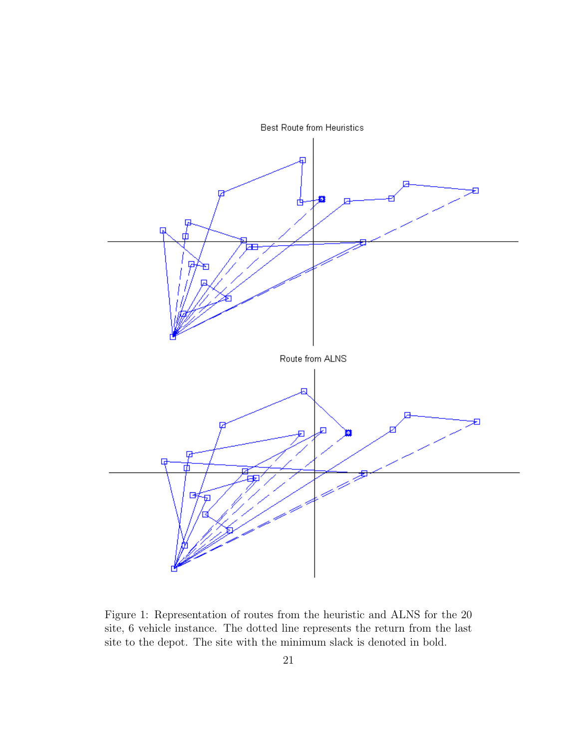

Figure 1: Representation of routes from the heuristic and ALNS for the 20 site, 6 vehicle instance. The dotted line represents the return from the last site to the depot. The site with the minimum slack is denoted in bold.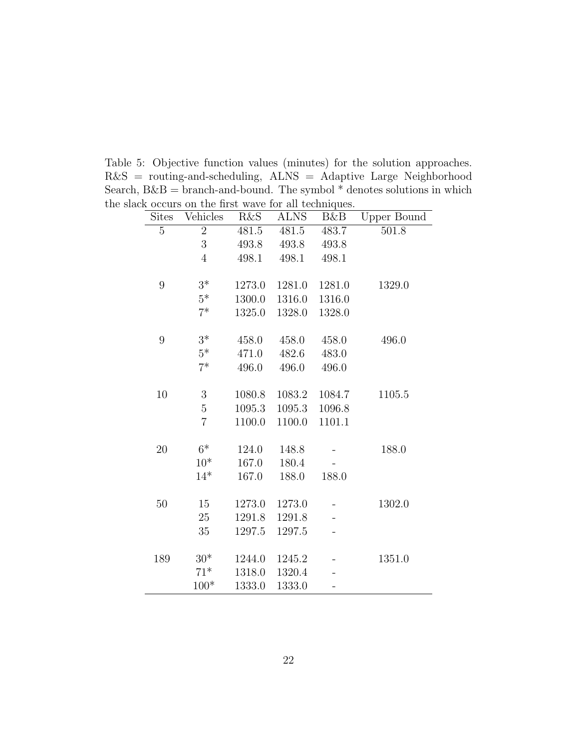|              | k occurs on the first wave for all techniques. |                |             |        |                    |
|--------------|------------------------------------------------|----------------|-------------|--------|--------------------|
| <b>Sites</b> | Vehicles                                       | <b>R&amp;S</b> | <b>ALNS</b> | B&B    | <b>Upper Bound</b> |
| 5            | $\overline{2}$                                 | 481.5          | $481.5\,$   | 483.7  | 501.8              |
|              | 3                                              | 493.8          | 493.8       | 493.8  |                    |
|              | $\overline{4}$                                 | 498.1          | 498.1       | 498.1  |                    |
| 9            | $3*$                                           | 1273.0         | 1281.0      | 1281.0 | 1329.0             |
|              | $5*$                                           | 1300.0         | 1316.0      | 1316.0 |                    |
|              | $7^*$                                          | 1325.0         | 1328.0      | 1328.0 |                    |
| 9            | $3*$                                           | 458.0          | 458.0       | 458.0  | 496.0              |
|              | $5*$                                           | 471.0          | 482.6       | 483.0  |                    |
|              | $7^*$                                          | 496.0          | 496.0       | 496.0  |                    |
| 10           | $\boldsymbol{3}$                               | 1080.8         | 1083.2      | 1084.7 | 1105.5             |
|              | $\overline{5}$                                 | 1095.3         | 1095.3      | 1096.8 |                    |
|              | $\overline{7}$                                 | 1100.0         | 1100.0      | 1101.1 |                    |
| 20           | $6*$                                           | 124.0          | 148.8       |        | 188.0              |
|              | $10*$                                          | 167.0          | 180.4       |        |                    |
|              | $14*$                                          | 167.0          | 188.0       | 188.0  |                    |
| 50           | 15                                             | 1273.0         | 1273.0      |        | 1302.0             |
|              | 25                                             | 1291.8         | 1291.8      |        |                    |
|              | 35                                             | 1297.5         | 1297.5      |        |                    |
| 189          | $30*$                                          | 1244.0         | 1245.2      |        | 1351.0             |
|              | $71*$                                          | 1318.0         | 1320.4      |        |                    |
|              | $100*$                                         | 1333.0         | 1333.0      |        |                    |
|              |                                                |                |             |        |                    |

Table 5: Objective function values (minutes) for the solution approaches. R&S = routing-and-scheduling, ALNS = Adaptive Large Neighborhood Search,  $B\&B =$  branch-and-bound. The symbol  $^*$  denotes solutions in which the slac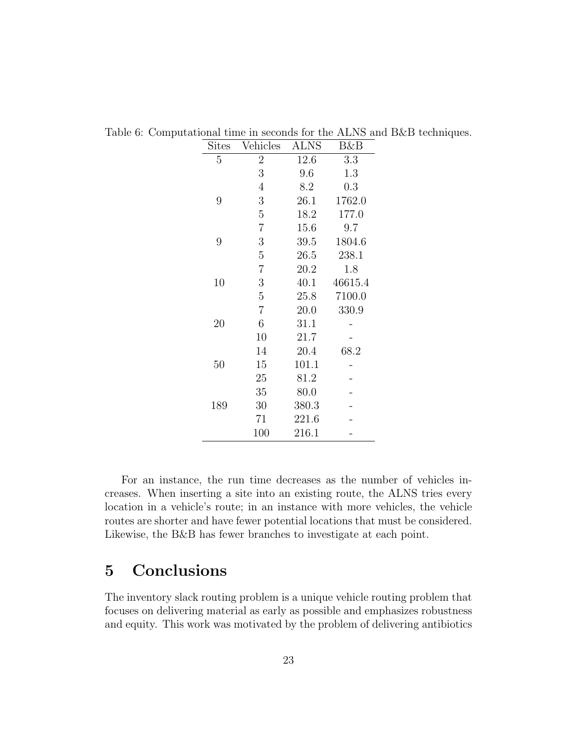| $\mathrm{Sites}$ | Vehicles       | ALNS  | B&B     |
|------------------|----------------|-------|---------|
| $\overline{5}$   | $\overline{2}$ | 12.6  | 3.3     |
|                  | 3              | 9.6   | 1.3     |
|                  | $\overline{4}$ | 8.2   | 0.3     |
| 9                | 3              | 26.1  | 1762.0  |
|                  | 5              | 18.2  | 177.0   |
|                  | $\overline{7}$ | 15.6  | 9.7     |
| 9                | 3              | 39.5  | 1804.6  |
|                  | 5              | 26.5  | 238.1   |
|                  | $\overline{7}$ | 20.2  | 1.8     |
| 10               | 3              | 40.1  | 46615.4 |
|                  | $\overline{5}$ | 25.8  | 7100.0  |
|                  | $\overline{7}$ | 20.0  | 330.9   |
| 20               | 6              | 31.1  |         |
|                  | 10             | 21.7  |         |
|                  | 14             | 20.4  | 68.2    |
| 50               | 15             | 101.1 |         |
|                  | 25             | 81.2  |         |
|                  | 35             | 80.0  |         |
| 189              | 30             | 380.3 |         |
|                  | 71             | 221.6 |         |
|                  | 100            | 216.1 |         |

Table 6: Computational time in seconds for the ALNS and B&B techniques.

For an instance, the run time decreases as the number of vehicles increases. When inserting a site into an existing route, the ALNS tries every location in a vehicle's route; in an instance with more vehicles, the vehicle routes are shorter and have fewer potential locations that must be considered. Likewise, the B&B has fewer branches to investigate at each point.

# 5 Conclusions

The inventory slack routing problem is a unique vehicle routing problem that focuses on delivering material as early as possible and emphasizes robustness and equity. This work was motivated by the problem of delivering antibiotics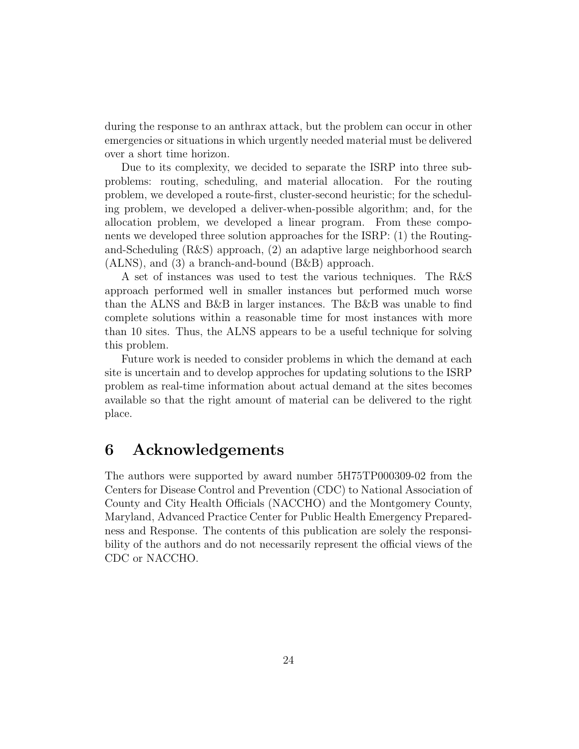during the response to an anthrax attack, but the problem can occur in other emergencies or situations in which urgently needed material must be delivered over a short time horizon.

Due to its complexity, we decided to separate the ISRP into three subproblems: routing, scheduling, and material allocation. For the routing problem, we developed a route-first, cluster-second heuristic; for the scheduling problem, we developed a deliver-when-possible algorithm; and, for the allocation problem, we developed a linear program. From these components we developed three solution approaches for the ISRP: (1) the Routingand-Scheduling (R&S) approach, (2) an adaptive large neighborhood search (ALNS), and (3) a branch-and-bound (B&B) approach.

A set of instances was used to test the various techniques. The R&S approach performed well in smaller instances but performed much worse than the ALNS and B&B in larger instances. The B&B was unable to find complete solutions within a reasonable time for most instances with more than 10 sites. Thus, the ALNS appears to be a useful technique for solving this problem.

Future work is needed to consider problems in which the demand at each site is uncertain and to develop approches for updating solutions to the ISRP problem as real-time information about actual demand at the sites becomes available so that the right amount of material can be delivered to the right place.

# 6 Acknowledgements

The authors were supported by award number 5H75TP000309-02 from the Centers for Disease Control and Prevention (CDC) to National Association of County and City Health Officials (NACCHO) and the Montgomery County, Maryland, Advanced Practice Center for Public Health Emergency Preparedness and Response. The contents of this publication are solely the responsibility of the authors and do not necessarily represent the official views of the CDC or NACCHO.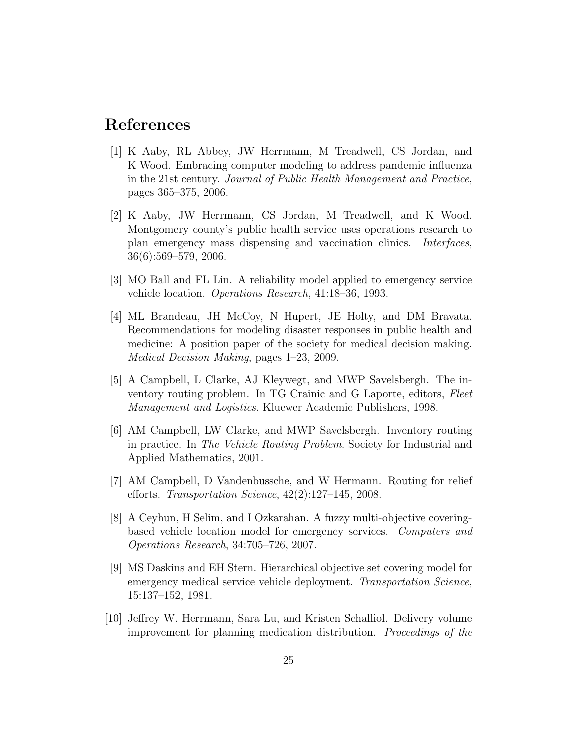### References

- [1] K Aaby, RL Abbey, JW Herrmann, M Treadwell, CS Jordan, and K Wood. Embracing computer modeling to address pandemic influenza in the 21st century. Journal of Public Health Management and Practice, pages 365–375, 2006.
- [2] K Aaby, JW Herrmann, CS Jordan, M Treadwell, and K Wood. Montgomery county's public health service uses operations research to plan emergency mass dispensing and vaccination clinics. Interfaces, 36(6):569–579, 2006.
- [3] MO Ball and FL Lin. A reliability model applied to emergency service vehicle location. Operations Research, 41:18–36, 1993.
- [4] ML Brandeau, JH McCoy, N Hupert, JE Holty, and DM Bravata. Recommendations for modeling disaster responses in public health and medicine: A position paper of the society for medical decision making. Medical Decision Making, pages 1–23, 2009.
- [5] A Campbell, L Clarke, AJ Kleywegt, and MWP Savelsbergh. The inventory routing problem. In TG Crainic and G Laporte, editors, Fleet Management and Logistics. Kluewer Academic Publishers, 1998.
- [6] AM Campbell, LW Clarke, and MWP Savelsbergh. Inventory routing in practice. In The Vehicle Routing Problem. Society for Industrial and Applied Mathematics, 2001.
- [7] AM Campbell, D Vandenbussche, and W Hermann. Routing for relief efforts. Transportation Science, 42(2):127–145, 2008.
- [8] A Ceyhun, H Selim, and I Ozkarahan. A fuzzy multi-objective coveringbased vehicle location model for emergency services. Computers and Operations Research, 34:705–726, 2007.
- [9] MS Daskins and EH Stern. Hierarchical objective set covering model for emergency medical service vehicle deployment. Transportation Science, 15:137–152, 1981.
- [10] Jeffrey W. Herrmann, Sara Lu, and Kristen Schalliol. Delivery volume improvement for planning medication distribution. Proceedings of the